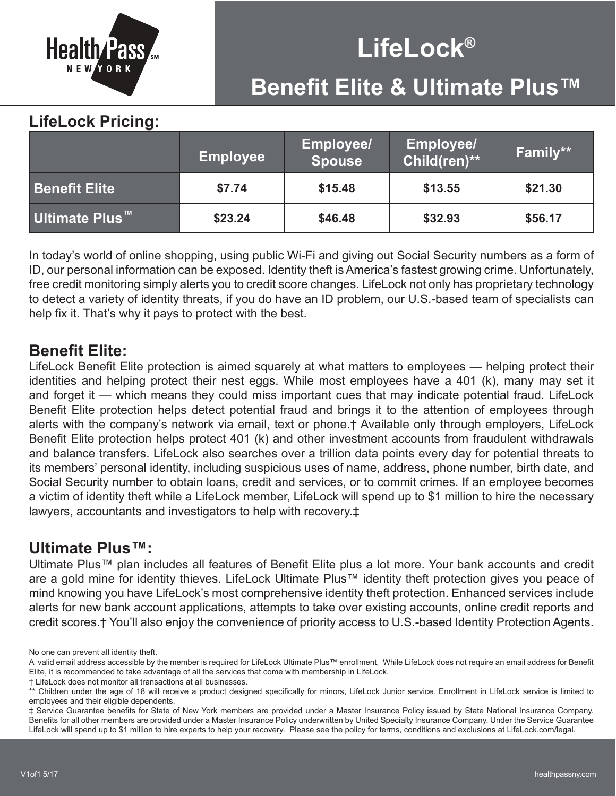

## **LifeLock® Benefit Elite & Ultimate Plus™**

## **LifeLock Pricing:**

|                       | <b>Employee</b> | <b>Employee/</b><br><b>Spouse</b> | <b>Employee/</b><br>Child(ren)** | Family** |
|-----------------------|-----------------|-----------------------------------|----------------------------------|----------|
| <b>Benefit Elite</b>  | \$7.74          | \$15.48                           | \$13.55                          | \$21.30  |
| <b>Ultimate Plus™</b> | \$23.24         | \$46.48                           | \$32.93                          | \$56.17  |

In today's world of online shopping, using public Wi-Fi and giving out Social Security numbers as a form of ID, our personal information can be exposed. Identity theft is America's fastest growing crime. Unfortunately, free credit monitoring simply alerts you to credit score changes. LifeLock not only has proprietary technology to detect a variety of identity threats, if you do have an ID problem, our U.S.-based team of specialists can help fix it. That's why it pays to protect with the best.

## **Benefit Elite:**

LifeLock Benefit Elite protection is aimed squarely at what matters to employees — helping protect their identities and helping protect their nest eggs. While most employees have a 401 (k), many may set it and forget it — which means they could miss important cues that may indicate potential fraud. LifeLock Benefit Elite protection helps detect potential fraud and brings it to the attention of employees through alerts with the company's network via email, text or phone.† Available only through employers, LifeLock Benefit Elite protection helps protect 401 (k) and other investment accounts from fraudulent withdrawals and balance transfers. LifeLock also searches over a trillion data points every day for potential threats to its members' personal identity, including suspicious uses of name, address, phone number, birth date, and Social Security number to obtain loans, credit and services, or to commit crimes. If an employee becomes a victim of identity theft while a LifeLock member, LifeLock will spend up to \$1 million to hire the necessary lawyers, accountants and investigators to help with recovery.‡

## **Ultimate Plus™:**

Ultimate Plus™ plan includes all features of Benefit Elite plus a lot more. Your bank accounts and credit are a gold mine for identity thieves. LifeLock Ultimate Plus™ identity theft protection gives you peace of mind knowing you have LifeLock's most comprehensive identity theft protection. Enhanced services include alerts for new bank account applications, attempts to take over existing accounts, online credit reports and credit scores.† You'll also enjoy the convenience of priority access to U.S.-based Identity Protection Agents.

No one can prevent all identity theft.

A valid email address accessible by the member is required for LifeLock Ultimate Plus™ enrollment. While LifeLock does not require an email address for Benefit Elite, it is recommended to take advantage of all the services that come with membership in LifeLock.

<sup>†</sup> LifeLock does not monitor all transactions at all businesses.

<sup>\*\*</sup> Children under the age of 18 will receive a product designed specifically for minors, LifeLock Junior service. Enrollment in LifeLock service is limited to employees and their eligible dependents.

<sup>‡</sup> Service Guarantee benefits for State of New York members are provided under a Master Insurance Policy issued by State National Insurance Company. Benefits for all other members are provided under a Master Insurance Policy underwritten by United Specialty Insurance Company. Under the Service Guarantee LifeLock will spend up to \$1 million to hire experts to help your recovery. Please see the policy for terms, conditions and exclusions at LifeLock.com/legal.